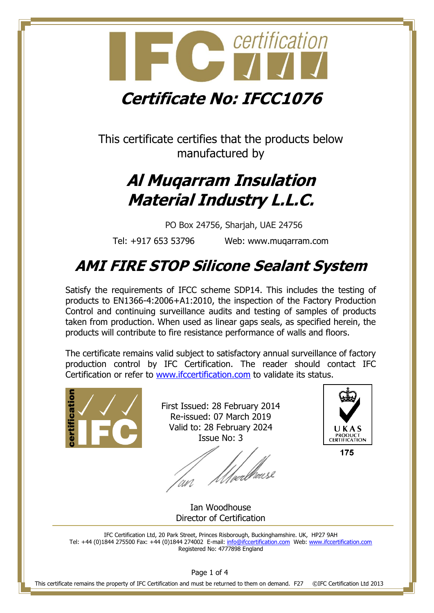

This certificate certifies that the products below manufactured by

### **Al Muqarram Insulation Material Industry L.L.C.**

PO Box 24756, Sharjah, UAE 24756

Tel: +917 653 53796 Web: www.muqarram.com

### **AMI FIRE STOP Silicone Sealant System**

Satisfy the requirements of IFCC scheme SDP14. This includes the testing of products to EN1366-4:2006+A1:2010, the inspection of the Factory Production Control and continuing surveillance audits and testing of samples of products taken from production. When used as linear gaps seals, as specified herein, the products will contribute to fire resistance performance of walls and floors.

The certificate remains valid subject to satisfactory annual surveillance of factory production control by IFC Certification. The reader should contact IFC Certification or refer to [www.ifccertification.com](http://www.ifccertification.com/) to validate its status.



First Issued: 28 February 2014 Re-issued: 07 March 2019 Valid to: 28 February 2024 Issue No: 3

*Ulve*rbeuse



175

Ian Woodhouse Director of Certification

IFC Certification Ltd, 20 Park Street, Princes Risborough, Buckinghamshire. UK, HP27 9AH Tel: +44 (0)1844 275500 Fax: +44 (0)1844 274002 E-mail[: info@ifccertification.com](mailto:info@ifccertification.com) Web: [www.ifccertification.com](http://www.ifccertification.com/) Registered No: 4777898 England

Page 1 of 4

This certificate remains the property of IFC Certification and must be returned to them on demand. F27 ©IFC Certification Ltd 2013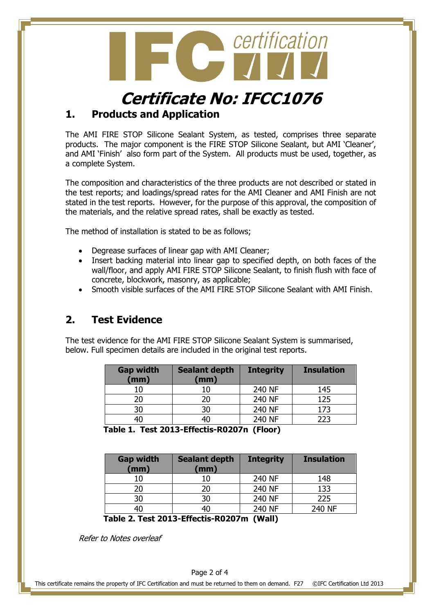

## **Certificate No: IFCC1076**

### **1. Products and Application**

The AMI FIRE STOP Silicone Sealant System, as tested, comprises three separate products. The major component is the FIRE STOP Silicone Sealant, but AMI 'Cleaner', and AMI 'Finish' also form part of the System. All products must be used, together, as a complete System.

The composition and characteristics of the three products are not described or stated in the test reports; and loadings/spread rates for the AMI Cleaner and AMI Finish are not stated in the test reports. However, for the purpose of this approval, the composition of the materials, and the relative spread rates, shall be exactly as tested.

The method of installation is stated to be as follows;

- Degrease surfaces of linear gap with AMI Cleaner;
- Insert backing material into linear gap to specified depth, on both faces of the wall/floor, and apply AMI FIRE STOP Silicone Sealant, to finish flush with face of concrete, blockwork, masonry, as applicable;
- Smooth visible surfaces of the AMI FIRE STOP Silicone Sealant with AMI Finish.

#### **2. Test Evidence**

The test evidence for the AMI FIRE STOP Silicone Sealant System is summarised, below. Full specimen details are included in the original test reports.

| <b>Sealant depth</b><br>(mm) | <b>Integrity</b> | <b>Insulation</b>         |
|------------------------------|------------------|---------------------------|
| 10                           | 240 NF           | 145                       |
| 20                           | 240 NF           | 125                       |
| 30                           | 240 NF           | 173                       |
| 40                           | 240 NF           | 223                       |
|                              | . .              | $\mathbf{v} = \mathbf{v}$ |

**Table 1. Test 2013-Effectis-R0207n (Floor)**

| <b>Gap width</b><br>(mm) | <b>Sealant depth</b><br>(mm) | <b>Integrity</b> | <b>Insulation</b> |
|--------------------------|------------------------------|------------------|-------------------|
| 10                       | 10                           | 240 NF           | 148               |
| 20                       | 20                           | 240 NF           | 133               |
| 30                       | 30                           | 240 NF           | 225               |
| 40                       | 40                           | 240 NF           | 240 NF            |

 **Table 2. Test 2013-Effectis-R0207m (Wall)**

Refer to Notes overleaf

This certificate remains the property of IFC Certification and must be returned to them on demand. F27 ©IFC Certification Ltd 2013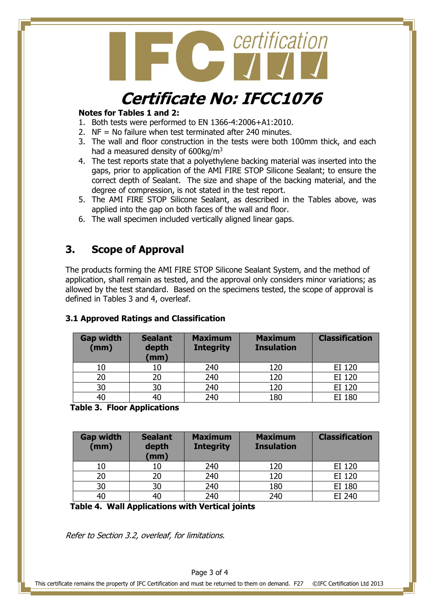

### **Certificate No: IFCC1076**

#### **Notes for Tables 1 and 2:**

- 1. Both tests were performed to EN 1366-4:2006+A1:2010.
- 2. NF = No failure when test terminated after 240 minutes.
- 3. The wall and floor construction in the tests were both 100mm thick, and each had a measured density of 600kg/m<sup>3</sup>
- 4. The test reports state that a polyethylene backing material was inserted into the gaps, prior to application of the AMI FIRE STOP Silicone Sealant; to ensure the correct depth of Sealant. The size and shape of the backing material, and the degree of compression, is not stated in the test report.
- 5. The AMI FIRE STOP Silicone Sealant, as described in the Tables above, was applied into the gap on both faces of the wall and floor.
- 6. The wall specimen included vertically aligned linear gaps.

#### **3. Scope of Approval**

The products forming the AMI FIRE STOP Silicone Sealant System, and the method of application, shall remain as tested, and the approval only considers minor variations; as allowed by the test standard. Based on the specimens tested, the scope of approval is defined in Tables 3 and 4, overleaf.

#### **Gap width (mm) Sealant depth (mm) Maximum Integrity Maximum Insulation Classification** 10 | 10 | 240 | 120 | EI 120 20 20 240 120 EI 120 30 30 240 120 EI 120 40 40 240 180 EI 180

#### **3.1 Approved Ratings and Classification**

 **Table 3. Floor Applications**

| <b>Gap width</b><br>(mm) | <b>Sealant</b><br>depth<br>(mm) | <b>Maximum</b><br><b>Integrity</b> | <b>Maximum</b><br><b>Insulation</b> | <b>Classification</b> |
|--------------------------|---------------------------------|------------------------------------|-------------------------------------|-----------------------|
| 10                       | 10                              | 240                                | 120                                 | EI 120                |
| 20                       | 20                              | 240                                | 120                                 | EI 120                |
| 30                       | 30                              | 240                                | 180                                 | EI 180                |
| 40                       | 40                              | 240                                | 240                                 | EI 240                |

 **Table 4. Wall Applications with Vertical joints**

Refer to Section 3.2, overleaf, for limitations.

Page 3 of 4

This certificate remains the property of IFC Certification and must be returned to them on demand. F27 ©IFC Certification Ltd 2013